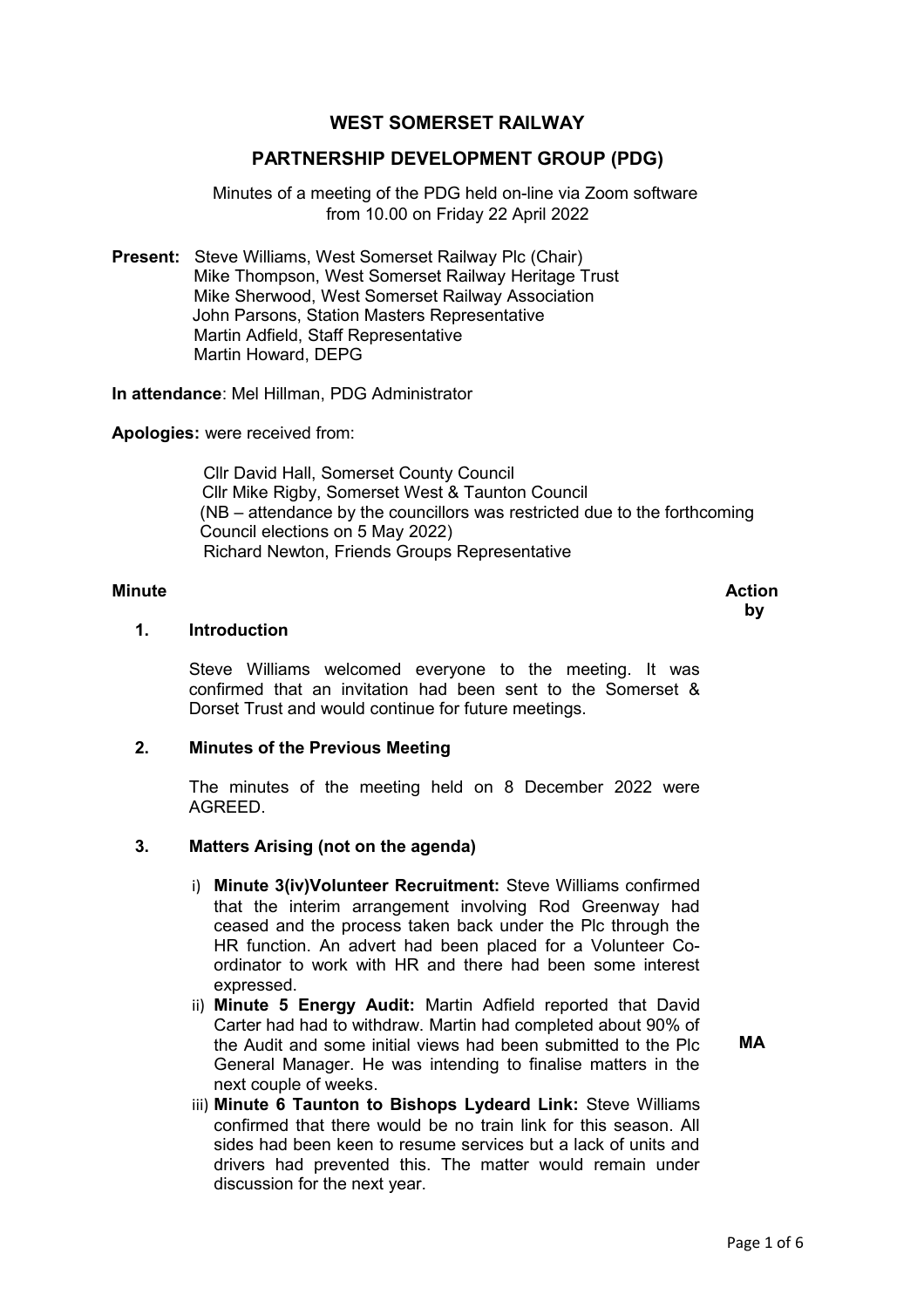# **WEST SOMERSET RAILWAY**

### **PARTNERSHIP DEVELOPMENT GROUP (PDG)**

Minutes of a meeting of the PDG held on-line via Zoom software from 10.00 on Friday 22 April 2022

**Present:** Steve Williams, West Somerset Railway Plc (Chair) Mike Thompson, West Somerset Railway Heritage Trust Mike Sherwood, West Somerset Railway Association John Parsons, Station Masters Representative Martin Adfield, Staff Representative Martin Howard, DEPG

**In attendance**: Mel Hillman, PDG Administrator

**Apologies:** were received from:

 Cllr David Hall, Somerset County Council Cllr Mike Rigby, Somerset West & Taunton Council (NB – attendance by the councillors was restricted due to the forthcoming Council elections on 5 May 2022) Richard Newton, Friends Groups Representative

#### **Minute** Action **Action**

 **by**

### **1. Introduction**

Steve Williams welcomed everyone to the meeting. It was confirmed that an invitation had been sent to the Somerset & Dorset Trust and would continue for future meetings.

#### **2. Minutes of the Previous Meeting**

The minutes of the meeting held on 8 December 2022 were AGREED.

#### **3. Matters Arising (not on the agenda)**

- i) **Minute 3(iv)Volunteer Recruitment:** Steve Williams confirmed that the interim arrangement involving Rod Greenway had ceased and the process taken back under the Plc through the HR function. An advert had been placed for a Volunteer Coordinator to work with HR and there had been some interest expressed.
- ii) **Minute 5 Energy Audit:** Martin Adfield reported that David Carter had had to withdraw. Martin had completed about 90% of the Audit and some initial views had been submitted to the Plc General Manager. He was intending to finalise matters in the next couple of weeks.
- **MA**
- iii) **Minute 6 Taunton to Bishops Lydeard Link:** Steve Williams confirmed that there would be no train link for this season. All sides had been keen to resume services but a lack of units and drivers had prevented this. The matter would remain under discussion for the next year.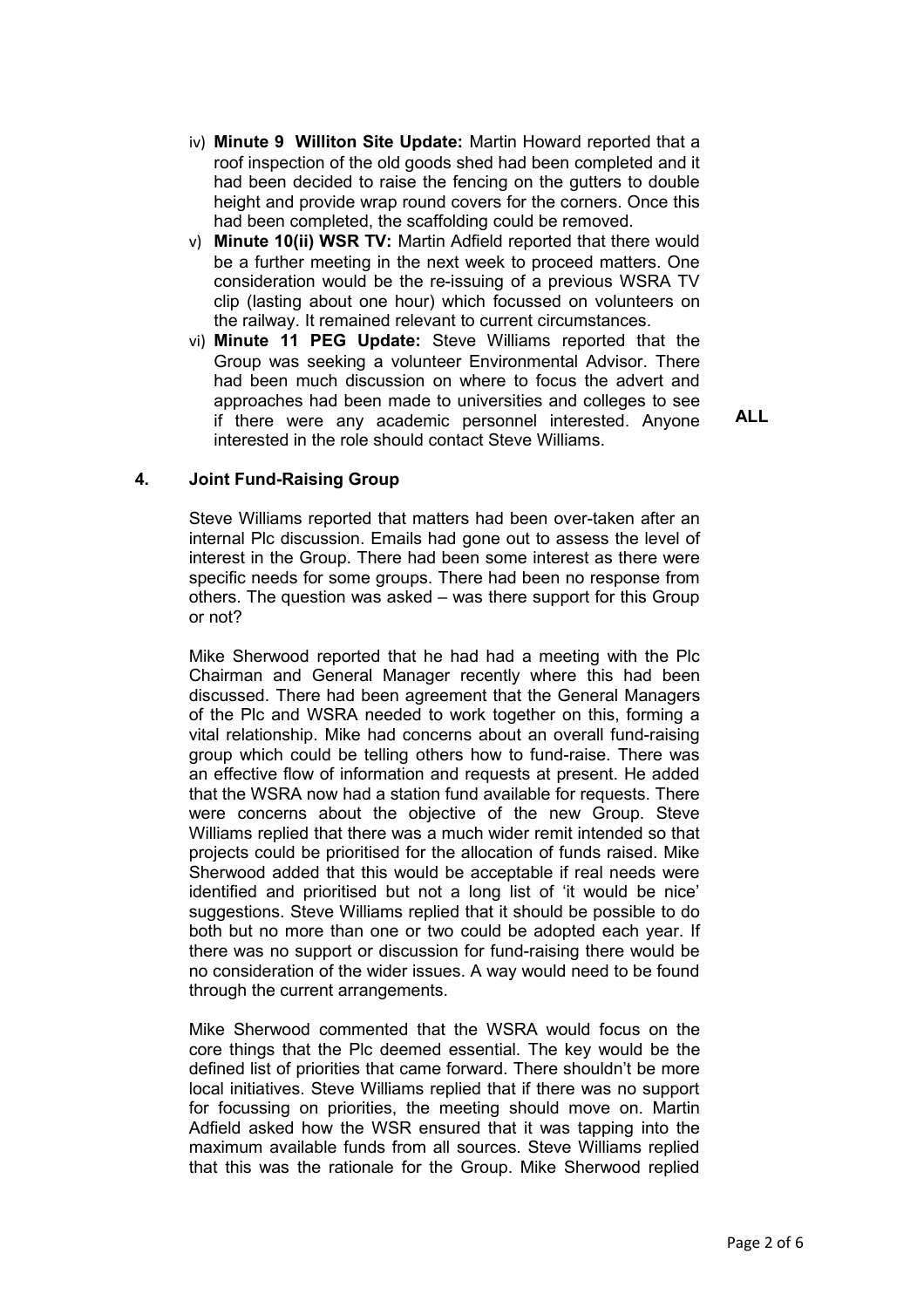- iv) **Minute 9 Williton Site Update:** Martin Howard reported that a roof inspection of the old goods shed had been completed and it had been decided to raise the fencing on the gutters to double height and provide wrap round covers for the corners. Once this had been completed, the scaffolding could be removed.
- v) **Minute 10(ii) WSR TV:** Martin Adfield reported that there would be a further meeting in the next week to proceed matters. One consideration would be the re-issuing of a previous WSRA TV clip (lasting about one hour) which focussed on volunteers on the railway. It remained relevant to current circumstances.
- vi) **Minute 11 PEG Update:** Steve Williams reported that the Group was seeking a volunteer Environmental Advisor. There had been much discussion on where to focus the advert and approaches had been made to universities and colleges to see if there were any academic personnel interested. Anyone interested in the role should contact Steve Williams.

**ALL**

#### **4. Joint Fund-Raising Group**

Steve Williams reported that matters had been over-taken after an internal Plc discussion. Emails had gone out to assess the level of interest in the Group. There had been some interest as there were specific needs for some groups. There had been no response from others. The question was asked – was there support for this Group or not?

Mike Sherwood reported that he had had a meeting with the Plc Chairman and General Manager recently where this had been discussed. There had been agreement that the General Managers of the Plc and WSRA needed to work together on this, forming a vital relationship. Mike had concerns about an overall fund-raising group which could be telling others how to fund-raise. There was an effective flow of information and requests at present. He added that the WSRA now had a station fund available for requests. There were concerns about the objective of the new Group. Steve Williams replied that there was a much wider remit intended so that projects could be prioritised for the allocation of funds raised. Mike Sherwood added that this would be acceptable if real needs were identified and prioritised but not a long list of 'it would be nice' suggestions. Steve Williams replied that it should be possible to do both but no more than one or two could be adopted each year. If there was no support or discussion for fund-raising there would be no consideration of the wider issues. A way would need to be found through the current arrangements.

Mike Sherwood commented that the WSRA would focus on the core things that the Plc deemed essential. The key would be the defined list of priorities that came forward. There shouldn't be more local initiatives. Steve Williams replied that if there was no support for focussing on priorities, the meeting should move on. Martin Adfield asked how the WSR ensured that it was tapping into the maximum available funds from all sources. Steve Williams replied that this was the rationale for the Group. Mike Sherwood replied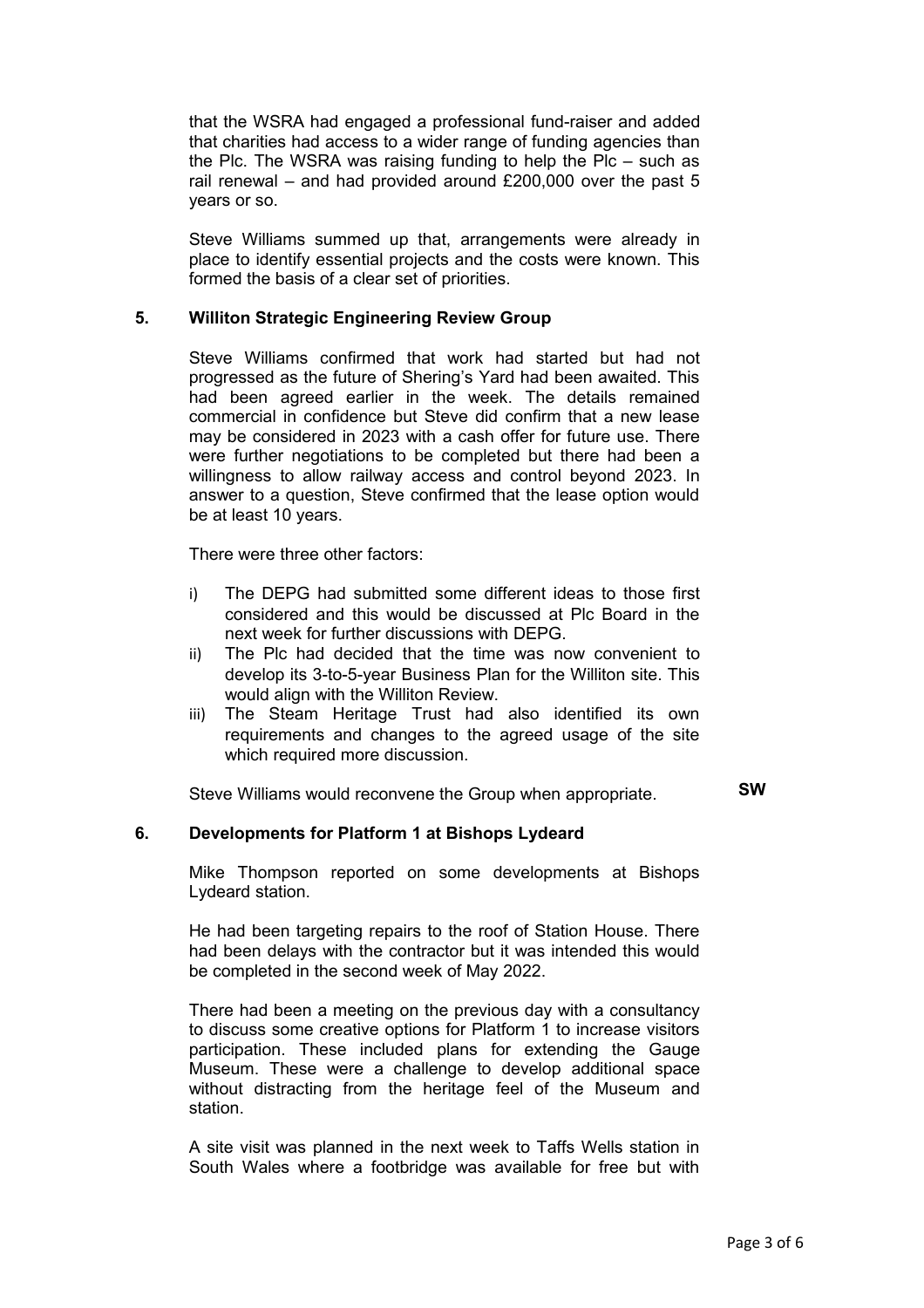that the WSRA had engaged a professional fund-raiser and added that charities had access to a wider range of funding agencies than the Plc. The WSRA was raising funding to help the Plc – such as rail renewal – and had provided around £200,000 over the past 5 years or so.

Steve Williams summed up that, arrangements were already in place to identify essential projects and the costs were known. This formed the basis of a clear set of priorities.

#### **5. Williton Strategic Engineering Review Group**

Steve Williams confirmed that work had started but had not progressed as the future of Shering's Yard had been awaited. This had been agreed earlier in the week. The details remained commercial in confidence but Steve did confirm that a new lease may be considered in 2023 with a cash offer for future use. There were further negotiations to be completed but there had been a willingness to allow railway access and control beyond 2023. In answer to a question, Steve confirmed that the lease option would be at least 10 years.

There were three other factors:

- i) The DEPG had submitted some different ideas to those first considered and this would be discussed at Plc Board in the next week for further discussions with DEPG.
- ii) The Plc had decided that the time was now convenient to develop its 3-to-5-year Business Plan for the Williton site. This would align with the Williton Review.
- iii) The Steam Heritage Trust had also identified its own requirements and changes to the agreed usage of the site which required more discussion.

Steve Williams would reconvene the Group when appropriate. **SW**

### **6. Developments for Platform 1 at Bishops Lydeard**

Mike Thompson reported on some developments at Bishops Lydeard station.

He had been targeting repairs to the roof of Station House. There had been delays with the contractor but it was intended this would be completed in the second week of May 2022.

There had been a meeting on the previous day with a consultancy to discuss some creative options for Platform 1 to increase visitors participation. These included plans for extending the Gauge Museum. These were a challenge to develop additional space without distracting from the heritage feel of the Museum and station.

A site visit was planned in the next week to Taffs Wells station in South Wales where a footbridge was available for free but with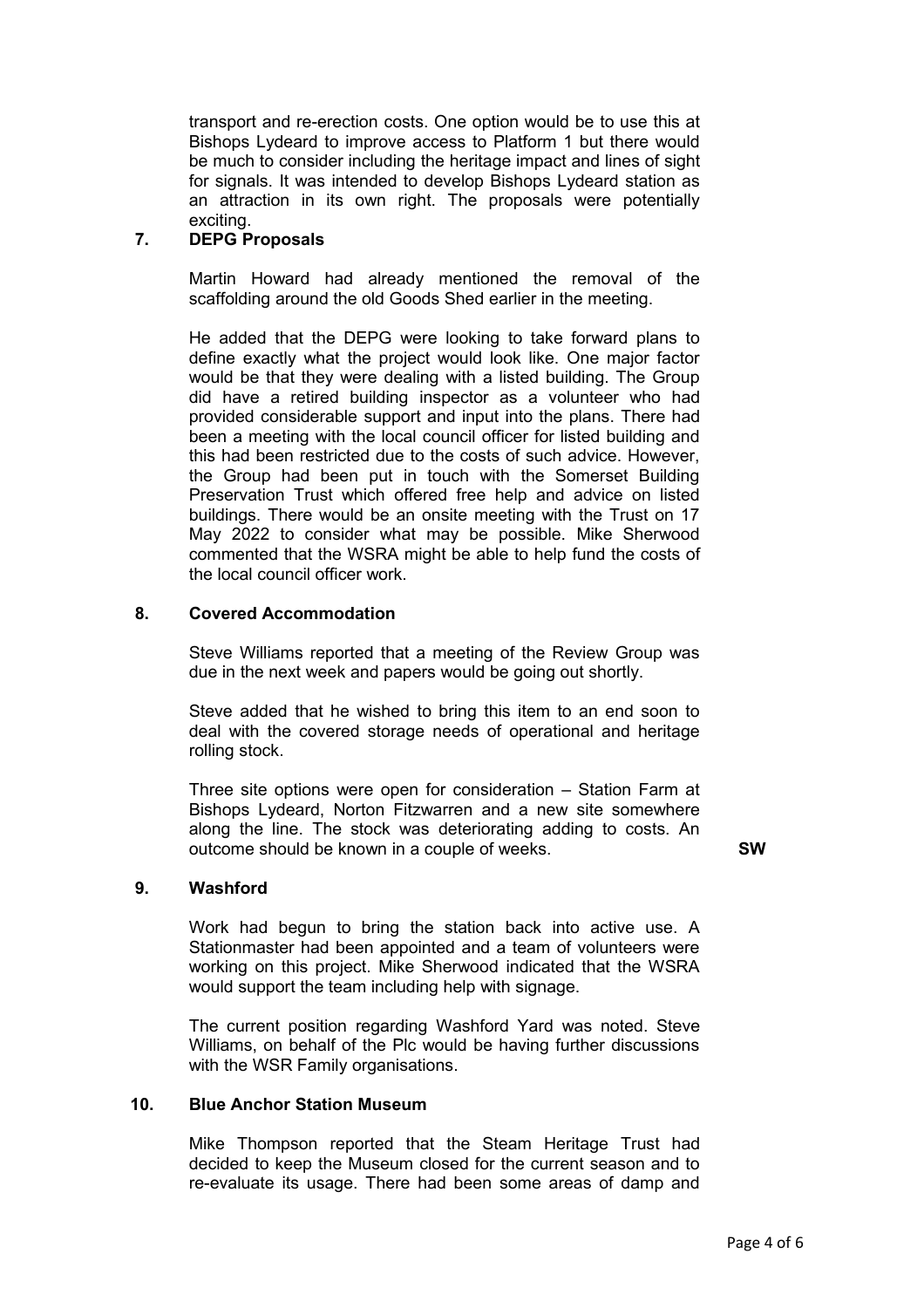transport and re-erection costs. One option would be to use this at Bishops Lydeard to improve access to Platform 1 but there would be much to consider including the heritage impact and lines of sight for signals. It was intended to develop Bishops Lydeard station as an attraction in its own right. The proposals were potentially exciting.

### **7. DEPG Proposals**

Martin Howard had already mentioned the removal of the scaffolding around the old Goods Shed earlier in the meeting.

He added that the DEPG were looking to take forward plans to define exactly what the project would look like. One major factor would be that they were dealing with a listed building. The Group did have a retired building inspector as a volunteer who had provided considerable support and input into the plans. There had been a meeting with the local council officer for listed building and this had been restricted due to the costs of such advice. However, the Group had been put in touch with the Somerset Building Preservation Trust which offered free help and advice on listed buildings. There would be an onsite meeting with the Trust on 17 May 2022 to consider what may be possible. Mike Sherwood commented that the WSRA might be able to help fund the costs of the local council officer work.

#### **8. Covered Accommodation**

Steve Williams reported that a meeting of the Review Group was due in the next week and papers would be going out shortly.

Steve added that he wished to bring this item to an end soon to deal with the covered storage needs of operational and heritage rolling stock.

Three site options were open for consideration – Station Farm at Bishops Lydeard, Norton Fitzwarren and a new site somewhere along the line. The stock was deteriorating adding to costs. An outcome should be known in a couple of weeks. **SW**

#### **9. Washford**

Work had begun to bring the station back into active use. A Stationmaster had been appointed and a team of volunteers were working on this project. Mike Sherwood indicated that the WSRA would support the team including help with signage.

The current position regarding Washford Yard was noted. Steve Williams, on behalf of the Plc would be having further discussions with the WSR Family organisations.

#### **10. Blue Anchor Station Museum**

Mike Thompson reported that the Steam Heritage Trust had decided to keep the Museum closed for the current season and to re-evaluate its usage. There had been some areas of damp and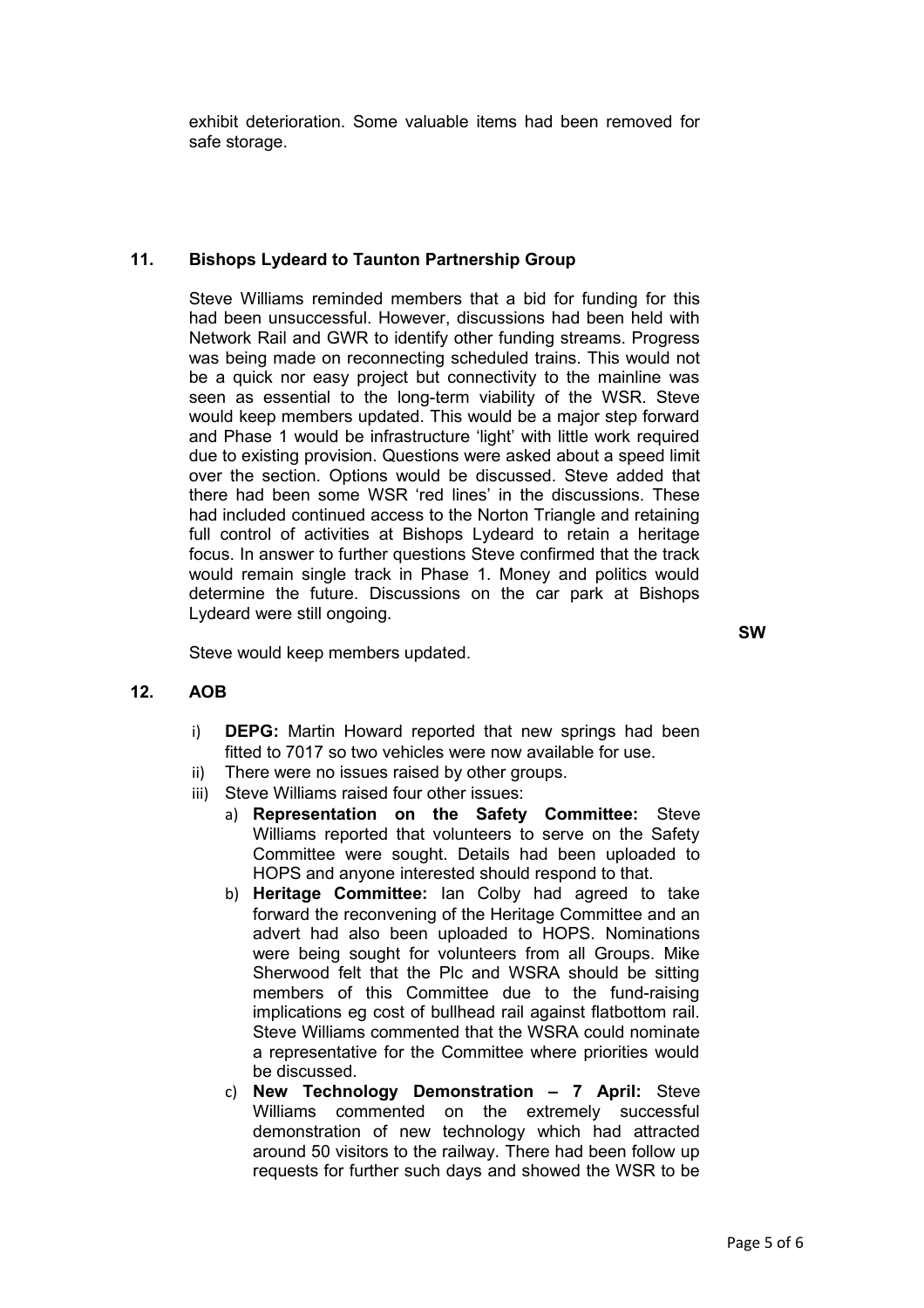exhibit deterioration. Some valuable items had been removed for safe storage.

# **11. Bishops Lydeard to Taunton Partnership Group**

Steve Williams reminded members that a bid for funding for this had been unsuccessful. However, discussions had been held with Network Rail and GWR to identify other funding streams. Progress was being made on reconnecting scheduled trains. This would not be a quick nor easy project but connectivity to the mainline was seen as essential to the long-term viability of the WSR. Steve would keep members updated. This would be a major step forward and Phase 1 would be infrastructure 'light' with little work required due to existing provision. Questions were asked about a speed limit over the section. Options would be discussed. Steve added that there had been some WSR 'red lines' in the discussions. These had included continued access to the Norton Triangle and retaining full control of activities at Bishops Lydeard to retain a heritage focus. In answer to further questions Steve confirmed that the track would remain single track in Phase 1. Money and politics would determine the future. Discussions on the car park at Bishops Lydeard were still ongoing.

Steve would keep members updated.

**SW**

# **12. AOB**

- i) **DEPG:** Martin Howard reported that new springs had been fitted to 7017 so two vehicles were now available for use.
- ii) There were no issues raised by other groups.
- iii) Steve Williams raised four other issues:
	- a) **Representation on the Safety Committee:** Steve Williams reported that volunteers to serve on the Safety Committee were sought. Details had been uploaded to HOPS and anyone interested should respond to that.
	- b) **Heritage Committee:** Ian Colby had agreed to take forward the reconvening of the Heritage Committee and an advert had also been uploaded to HOPS. Nominations were being sought for volunteers from all Groups. Mike Sherwood felt that the Plc and WSRA should be sitting members of this Committee due to the fund-raising implications eg cost of bullhead rail against flatbottom rail. Steve Williams commented that the WSRA could nominate a representative for the Committee where priorities would be discussed.
	- c) **New Technology Demonstration 7 April:** Steve Williams commented on the extremely successful demonstration of new technology which had attracted around 50 visitors to the railway. There had been follow up requests for further such days and showed the WSR to be